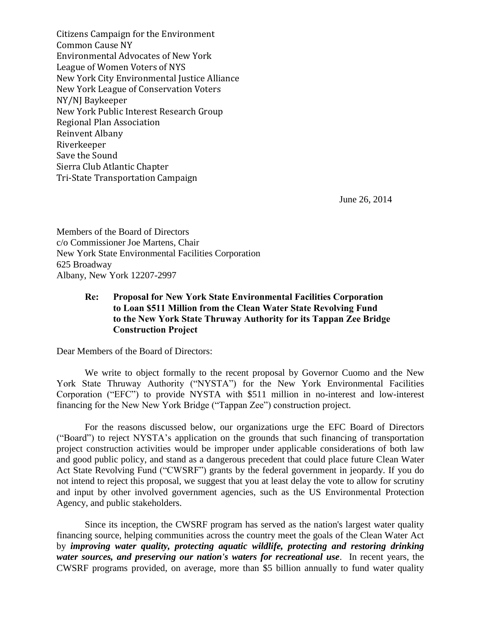Citizens Campaign for the Environment Common Cause NY Environmental Advocates of New York League of Women Voters of NYS New York City Environmental Justice Alliance New York League of Conservation Voters NY/NJ Baykeeper New York Public Interest Research Group Regional Plan Association Reinvent Albany Riverkeeper Save the Sound Sierra Club Atlantic Chapter Tri-State Transportation Campaign

June 26, 2014

Members of the Board of Directors c/o Commissioner Joe Martens, Chair New York State Environmental Facilities Corporation 625 Broadway Albany, New York 12207-2997

## **Re: Proposal for New York State Environmental Facilities Corporation to Loan \$511 Million from the Clean Water State Revolving Fund to the New York State Thruway Authority for its Tappan Zee Bridge Construction Project**

Dear Members of the Board of Directors:

We write to object formally to the recent proposal by Governor Cuomo and the New York State Thruway Authority ("NYSTA") for the New York Environmental Facilities Corporation ("EFC") to provide NYSTA with \$511 million in no-interest and low-interest financing for the New New York Bridge ("Tappan Zee") construction project.

For the reasons discussed below, our organizations urge the EFC Board of Directors ("Board") to reject NYSTA's application on the grounds that such financing of transportation project construction activities would be improper under applicable considerations of both law and good public policy, and stand as a dangerous precedent that could place future Clean Water Act State Revolving Fund ("CWSRF") grants by the federal government in jeopardy. If you do not intend to reject this proposal, we suggest that you at least delay the vote to allow for scrutiny and input by other involved government agencies, such as the US Environmental Protection Agency, and public stakeholders.

Since its inception, the CWSRF program has served as the nation's largest water quality financing source, helping communities across the country meet the goals of the Clean Water Act by *improving water quality, protecting aquatic wildlife, protecting and restoring drinking water sources, and preserving our nation's waters for recreational use*. In recent years, the CWSRF programs provided, on average, more than \$5 billion annually to fund water quality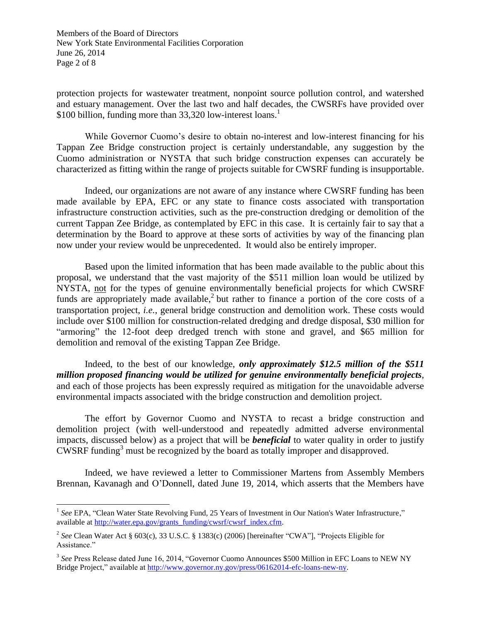Members of the Board of Directors New York State Environmental Facilities Corporation June 26, 2014 Page 2 of 8

protection projects for wastewater treatment, nonpoint source pollution control, and watershed and estuary management. Over the last two and half decades, the CWSRFs have provided over \$100 billion, funding more than  $33,320$  low-interest loans.<sup>1</sup>

While Governor Cuomo's desire to obtain no-interest and low-interest financing for his Tappan Zee Bridge construction project is certainly understandable, any suggestion by the Cuomo administration or NYSTA that such bridge construction expenses can accurately be characterized as fitting within the range of projects suitable for CWSRF funding is insupportable.

Indeed, our organizations are not aware of any instance where CWSRF funding has been made available by EPA, EFC or any state to finance costs associated with transportation infrastructure construction activities, such as the pre-construction dredging or demolition of the current Tappan Zee Bridge, as contemplated by EFC in this case. It is certainly fair to say that a determination by the Board to approve at these sorts of activities by way of the financing plan now under your review would be unprecedented. It would also be entirely improper.

Based upon the limited information that has been made available to the public about this proposal, we understand that the vast majority of the \$511 million loan would be utilized by NYSTA, not for the types of genuine environmentally beneficial projects for which CWSRF funds are appropriately made available,<sup>2</sup> but rather to finance a portion of the core costs of a transportation project, *i.e.*, general bridge construction and demolition work. These costs would include over \$100 million for construction-related dredging and dredge disposal, \$30 million for "armoring" the 12-foot deep dredged trench with stone and gravel, and \$65 million for demolition and removal of the existing Tappan Zee Bridge.

Indeed, to the best of our knowledge, *only approximately \$12.5 million of the \$511 million proposed financing would be utilized for genuine environmentally beneficial projects*, and each of those projects has been expressly required as mitigation for the unavoidable adverse environmental impacts associated with the bridge construction and demolition project.

The effort by Governor Cuomo and NYSTA to recast a bridge construction and demolition project (with well-understood and repeatedly admitted adverse environmental impacts, discussed below) as a project that will be *beneficial* to water quality in order to justify CWSRF funding<sup>3</sup> must be recognized by the board as totally improper and disapproved.

Indeed, we have reviewed a letter to Commissioner Martens from Assembly Members Brennan, Kavanagh and O'Donnell, dated June 19, 2014, which asserts that the Members have

<sup>&</sup>lt;sup>1</sup> See EPA, "Clean Water State Revolving Fund, 25 Years of Investment in Our Nation's Water Infrastructure," available at [http://water.epa.gov/grants\\_funding/cwsrf/cwsrf\\_index.cfm.](http://water.epa.gov/grants_funding/cwsrf/cwsrf_index.cfm)

<sup>2</sup> *See* Clean Water Act § 603(c), 33 U.S.C. § 1383(c) (2006) [hereinafter "CWA"], "Projects Eligible for Assistance."

<sup>&</sup>lt;sup>3</sup> See Press Release dated June 16, 2014, "Governor Cuomo Announces \$500 Million in EFC Loans to NEW NY Bridge Project," available at [http://www.governor.ny.gov/press/06162014-efc-loans-new-ny.](http://www.governor.ny.gov/press/06162014-efc-loans-new-ny)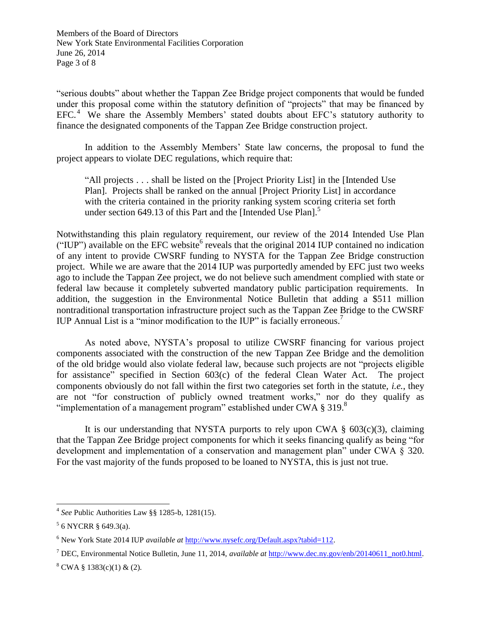Members of the Board of Directors New York State Environmental Facilities Corporation June 26, 2014 Page 3 of 8

"serious doubts" about whether the Tappan Zee Bridge project components that would be funded under this proposal come within the statutory definition of "projects" that may be financed by EFC.<sup>4</sup> We share the Assembly Members' stated doubts about EFC's statutory authority to finance the designated components of the Tappan Zee Bridge construction project.

In addition to the Assembly Members' State law concerns, the proposal to fund the project appears to violate DEC regulations, which require that:

"All projects . . . shall be listed on the [Project Priority List] in the [Intended Use Plan]. Projects shall be ranked on the annual [Project Priority List] in accordance with the criteria contained in the priority ranking system scoring criteria set forth under section 649.13 of this Part and the [Intended Use Plan].<sup>5</sup>

Notwithstanding this plain regulatory requirement, our review of the 2014 Intended Use Plan ("IUP") available on the EFC website<sup>6</sup> reveals that the original 2014 IUP contained no indication of any intent to provide CWSRF funding to NYSTA for the Tappan Zee Bridge construction project. While we are aware that the 2014 IUP was purportedly amended by EFC just two weeks ago to include the Tappan Zee project, we do not believe such amendment complied with state or federal law because it completely subverted mandatory public participation requirements. In addition, the suggestion in the Environmental Notice Bulletin that adding a \$511 million nontraditional transportation infrastructure project such as the Tappan Zee Bridge to the CWSRF IUP Annual List is a "minor modification to the IUP" is facially erroneous.<sup>7</sup>

As noted above, NYSTA's proposal to utilize CWSRF financing for various project components associated with the construction of the new Tappan Zee Bridge and the demolition of the old bridge would also violate federal law, because such projects are not "projects eligible for assistance" specified in Section 603(c) of the federal Clean Water Act. The project components obviously do not fall within the first two categories set forth in the statute, *i.e.*, they are not "for construction of publicly owned treatment works," nor do they qualify as "implementation of a management program" established under CWA  $\S 319$ .

It is our understanding that NYSTA purports to rely upon CWA  $\S$  603(c)(3), claiming that the Tappan Zee Bridge project components for which it seeks financing qualify as being "for development and implementation of a conservation and management plan" under CWA § 320. For the vast majority of the funds proposed to be loaned to NYSTA, this is just not true.

<sup>4</sup> *See* Public Authorities Law §§ 1285-b, 1281(15).

<sup>5</sup> 6 NYCRR § 649.3(a).

<sup>6</sup> New York State 2014 IUP *available at* [http://www.nysefc.org/Default.aspx?tabid=112.](http://www.nysefc.org/Default.aspx?tabid=112)

<sup>7</sup> DEC, Environmental Notice Bulletin, June 11, 2014, *available at* [http://www.dec.ny.gov/enb/20140611\\_not0.html.](http://www.dec.ny.gov/enb/20140611_not0.html)

 $8$  CWA § 1383(c)(1) & (2).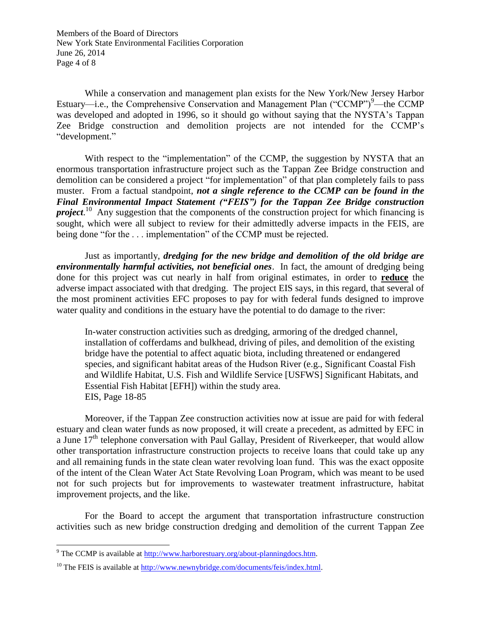Members of the Board of Directors New York State Environmental Facilities Corporation June 26, 2014 Page 4 of 8

While a conservation and management plan exists for the New York/New Jersey Harbor Estuary—i.e., the Comprehensive Conservation and Management Plan ("CCMP") $^9$ —the CCMP was developed and adopted in 1996, so it should go without saying that the NYSTA's Tappan Zee Bridge construction and demolition projects are not intended for the CCMP's "development."

With respect to the "implementation" of the CCMP, the suggestion by NYSTA that an enormous transportation infrastructure project such as the Tappan Zee Bridge construction and demolition can be considered a project "for implementation" of that plan completely fails to pass muster. From a factual standpoint, *not a single reference to the CCMP can be found in the Final Environmental Impact Statement ("FEIS") for the Tappan Zee Bridge construction project*.<sup>10</sup> Any suggestion that the components of the construction project for which financing is sought, which were all subject to review for their admittedly adverse impacts in the FEIS, are being done "for the . . . implementation" of the CCMP must be rejected.

Just as importantly, *dredging for the new bridge and demolition of the old bridge are environmentally harmful activities, not beneficial ones*. In fact, the amount of dredging being done for this project was cut nearly in half from original estimates, in order to **reduce** the adverse impact associated with that dredging. The project EIS says, in this regard, that several of the most prominent activities EFC proposes to pay for with federal funds designed to improve water quality and conditions in the estuary have the potential to do damage to the river:

In-water construction activities such as dredging, armoring of the dredged channel, installation of cofferdams and bulkhead, driving of piles, and demolition of the existing bridge have the potential to affect aquatic biota, including threatened or endangered species, and significant habitat areas of the Hudson River (e.g., Significant Coastal Fish and Wildlife Habitat, U.S. Fish and Wildlife Service [USFWS] Significant Habitats, and Essential Fish Habitat [EFH]) within the study area. EIS, Page 18-85

Moreover, if the Tappan Zee construction activities now at issue are paid for with federal estuary and clean water funds as now proposed, it will create a precedent, as admitted by EFC in a June  $17<sup>th</sup>$  telephone conversation with Paul Gallay, President of Riverkeeper, that would allow other transportation infrastructure construction projects to receive loans that could take up any and all remaining funds in the state clean water revolving loan fund. This was the exact opposite of the intent of the Clean Water Act State Revolving Loan Program, which was meant to be used not for such projects but for improvements to wastewater treatment infrastructure, habitat improvement projects, and the like.

For the Board to accept the argument that transportation infrastructure construction activities such as new bridge construction dredging and demolition of the current Tappan Zee

<sup>&</sup>lt;sup>9</sup> The CCMP is available at  $\frac{http://www.harborestuary.org/about-planningdocs.htm}{}$ .

 $10$  The FEIS is available at [http://www.newnybridge.com/documents/feis/index.html.](http://www.newnybridge.com/documents/feis/index.html)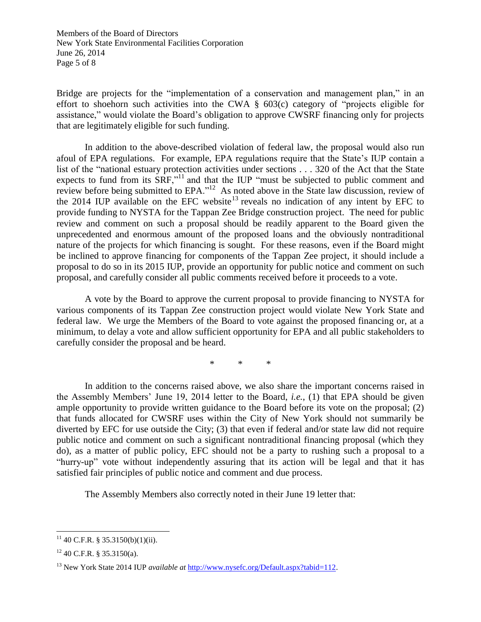Members of the Board of Directors New York State Environmental Facilities Corporation June 26, 2014 Page 5 of 8

Bridge are projects for the "implementation of a conservation and management plan," in an effort to shoehorn such activities into the CWA § 603(c) category of "projects eligible for assistance," would violate the Board's obligation to approve CWSRF financing only for projects that are legitimately eligible for such funding.

In addition to the above-described violation of federal law, the proposal would also run afoul of EPA regulations. For example, EPA regulations require that the State's IUP contain a list of the "national estuary protection activities under sections . . . 320 of the Act that the State expects to fund from its SRF,"<sup>11</sup> and that the IUP "must be subjected to public comment and review before being submitted to EPA."<sup>12</sup> As noted above in the State law discussion, review of the 2014 IUP available on the EFC website<sup>13</sup> reveals no indication of any intent by EFC to provide funding to NYSTA for the Tappan Zee Bridge construction project. The need for public review and comment on such a proposal should be readily apparent to the Board given the unprecedented and enormous amount of the proposed loans and the obviously nontraditional nature of the projects for which financing is sought. For these reasons, even if the Board might be inclined to approve financing for components of the Tappan Zee project, it should include a proposal to do so in its 2015 IUP, provide an opportunity for public notice and comment on such proposal, and carefully consider all public comments received before it proceeds to a vote.

A vote by the Board to approve the current proposal to provide financing to NYSTA for various components of its Tappan Zee construction project would violate New York State and federal law. We urge the Members of the Board to vote against the proposed financing or, at a minimum, to delay a vote and allow sufficient opportunity for EPA and all public stakeholders to carefully consider the proposal and be heard.

\* \* \*

In addition to the concerns raised above, we also share the important concerns raised in the Assembly Members' June 19, 2014 letter to the Board, *i.e.*, (1) that EPA should be given ample opportunity to provide written guidance to the Board before its vote on the proposal; (2) that funds allocated for CWSRF uses within the City of New York should not summarily be diverted by EFC for use outside the City; (3) that even if federal and/or state law did not require public notice and comment on such a significant nontraditional financing proposal (which they do), as a matter of public policy, EFC should not be a party to rushing such a proposal to a "hurry-up" vote without independently assuring that its action will be legal and that it has satisfied fair principles of public notice and comment and due process.

The Assembly Members also correctly noted in their June 19 letter that:

 $\overline{\phantom{a}}$  $11$  40 C.F.R. § 35.3150(b)(1)(ii).

 $12$  40 C.F.R. § 35.3150(a).

<sup>13</sup> New York State 2014 IUP *available at* [http://www.nysefc.org/Default.aspx?tabid=112.](http://www.nysefc.org/Default.aspx?tabid=112)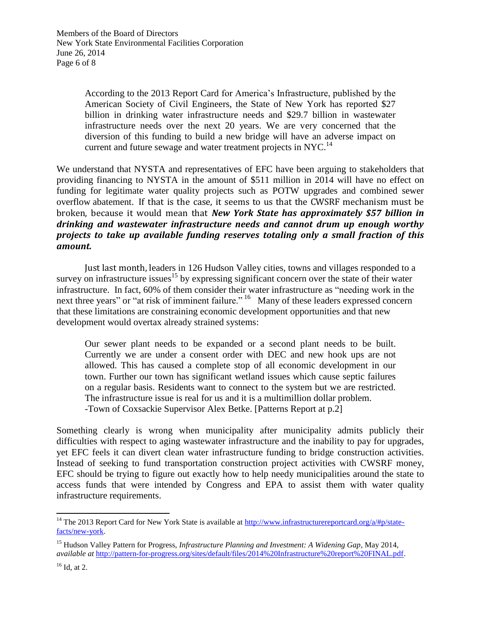Members of the Board of Directors New York State Environmental Facilities Corporation June 26, 2014 Page 6 of 8

> According to the 2013 Report Card for America's Infrastructure, published by the American Society of Civil Engineers, the State of New York has reported \$27 billion in drinking water infrastructure needs and \$29.7 billion in wastewater infrastructure needs over the next 20 years. We are very concerned that the diversion of this funding to build a new bridge will have an adverse impact on current and future sewage and water treatment projects in NYC.<sup>14</sup>

We understand that NYSTA and representatives of EFC have been arguing to stakeholders that providing financing to NYSTA in the amount of \$511 million in 2014 will have no effect on funding for legitimate water quality projects such as POTW upgrades and combined sewer overflow abatement. If that is the case, it seems to us that the CWSRF mechanism must be broken, because it would mean that *New York State has approximately \$57 billion in drinking and wastewater infrastructure needs and cannot drum up enough worthy projects to take up available funding reserves totaling only a small fraction of this amount.*

Just last month, leaders in 126 Hudson Valley cities, towns and villages responded to a survey on infrastructure issues<sup>15</sup> by expressing significant concern over the state of their water infrastructure. In fact, 60% of them consider their water infrastructure as "needing work in the next three years" or "at risk of imminent failure." <sup>16</sup> Many of these leaders expressed concern that these limitations are constraining economic development opportunities and that new development would overtax already strained systems:

Our sewer plant needs to be expanded or a second plant needs to be built. Currently we are under a consent order with DEC and new hook ups are not allowed. This has caused a complete stop of all economic development in our town. Further our town has significant wetland issues which cause septic failures on a regular basis. Residents want to connect to the system but we are restricted. The infrastructure issue is real for us and it is a multimillion dollar problem. -Town of Coxsackie Supervisor Alex Betke. [Patterns Report at p.2]

Something clearly is wrong when municipality after municipality admits publicly their difficulties with respect to aging wastewater infrastructure and the inability to pay for upgrades, yet EFC feels it can divert clean water infrastructure funding to bridge construction activities. Instead of seeking to fund transportation construction project activities with CWSRF money, EFC should be trying to figure out exactly how to help needy municipalities around the state to access funds that were intended by Congress and EPA to assist them with water quality infrastructure requirements.

<sup>&</sup>lt;sup>14</sup> The 2013 Report Card for New York State is available at  $\frac{http://www.infrastructurereportcard.org/a/\#p/state-}{http://www.infrastructurereportcard.org/a/\#p/state-}$ [facts/new-york.](http://www.infrastructurereportcard.org/a/#p/state-facts/new-york)

<sup>15</sup> Hudson Valley Pattern for Progress, *Infrastructure Planning and Investment: A Widening Gap*, May 2014, *available at* [http://pattern-for-progress.org/sites/default/files/2014%20Infrastructure%20report%20FINAL.pdf.](http://pattern-for-progress.org/sites/default/files/2014%20Infrastructure%20report%20FINAL.pdf)

 $16$  Id, at 2.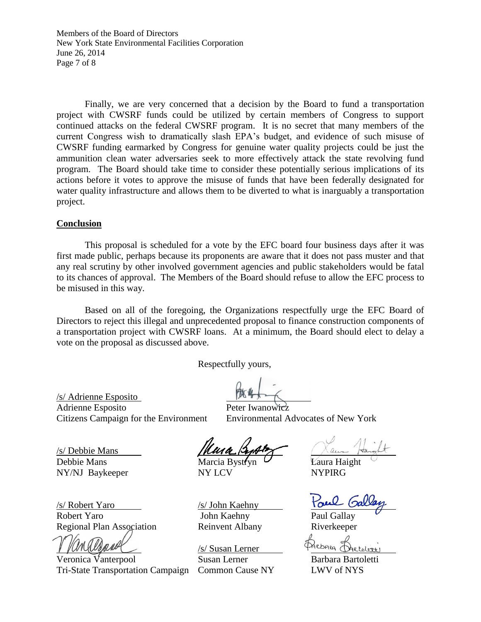Members of the Board of Directors New York State Environmental Facilities Corporation June 26, 2014 Page 7 of 8

Finally, we are very concerned that a decision by the Board to fund a transportation project with CWSRF funds could be utilized by certain members of Congress to support continued attacks on the federal CWSRF program. It is no secret that many members of the current Congress wish to dramatically slash EPA's budget, and evidence of such misuse of CWSRF funding earmarked by Congress for genuine water quality projects could be just the ammunition clean water adversaries seek to more effectively attack the state revolving fund program. The Board should take time to consider these potentially serious implications of its actions before it votes to approve the misuse of funds that have been federally designated for water quality infrastructure and allows them to be diverted to what is inarguably a transportation project.

## **Conclusion**

This proposal is scheduled for a vote by the EFC board four business days after it was first made public, perhaps because its proponents are aware that it does not pass muster and that any real scrutiny by other involved government agencies and public stakeholders would be fatal to its chances of approval. The Members of the Board should refuse to allow the EFC process to be misused in this way.

Based on all of the foregoing, the Organizations respectfully urge the EFC Board of Directors to reject this illegal and unprecedented proposal to finance construction components of a transportation project with CWSRF loans. At a minimum, the Board should elect to delay a vote on the proposal as discussed above.

Respectfully yours,

/s/ Adrienne Esposito Adrienne Esposito Citizens Campaign for the Environment Environmental Advocates of New York

/s/ Debbie Mans

/s/ Robert Yaro /s/ John Kaehny Robert Yaro **Iohn Kaehny** Paul Gallay Regional Plan Association Reinvent Albany Riverkeeper

Veronica Vanterpool Susan Lerner Barbara Bartoletti Tri-State Transportation Campaign Common Cause NY LWV of NYS

Debbie Mans Marcia Bystryn  $\mathcal{L}$  Laura Haight NY/NJ Baykeeper NY LCV NYPIRG

/s/ Susan Lerner